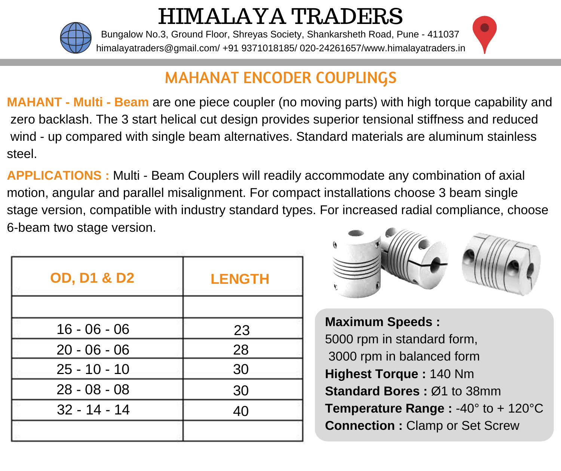

HIMALAYA TRADERS

himalayatraders@gmail.com/ +91 9371018185/ 020-24261657/www.him[alayatraders.in](https://www.google.com/maps/dir/18.497062,73.8771897/Himalaya+Traders,+Bunglow+No.+3+Ground+Floor,+Shankar+Sheth+Rd,+Shreyas+Society,+Pune,+Maharashtra+411037/@18.4995791,73.8701717,16z/data=!4m9!4m8!1m1!4e1!1m5!1m1!1s0x3bc2c1228bda879b:0x3b8fd45047a9ee64!2m2!1d73.8732317!2d18.49841) Bungalow No.3, Ground Floor, Shreyas Society, Shankarsheth Road, Pune - 411037

## MAHANAT ENCODER COUPLINGS

**MAHANT - Multi - Beam** are one piece coupler (no moving parts) with high torque capability and zero backlash. The 3 start helical cut design provides superior tensional stiffness and reduced wind - up compared with single beam alternatives. Standard materials are aluminum stainless steel.

**APPLICATIONS :** Multi - Beam Couplers will readily accommodate any combination of axial motion, angular and parallel misalignment. For compact installations choose 3 beam single stage version, compatible with industry standard types. For increased radial compliance, choose 6-beam two stage version.

| <b>OD, D1 &amp; D2</b> | <b>LENGTH</b> |  |  |
|------------------------|---------------|--|--|
|                        |               |  |  |
| $16 - 06 - 06$         | 23            |  |  |
| $20 - 06 - 06$         | 28            |  |  |
| $25 - 10 - 10$         | 30            |  |  |
| $28 - 08 - 08$         | 30            |  |  |
| $32 - 14 - 14$         | 40            |  |  |
|                        |               |  |  |



**Maximum Speeds :** 5000 rpm in standard form, 3000 rpm in balanced form **Highest Torque :** 140 Nm **Standard Bores :** Ø1 to 38mm **Temperature Range :** -40° to + 120°C **Connection :** Clamp or Set Screw